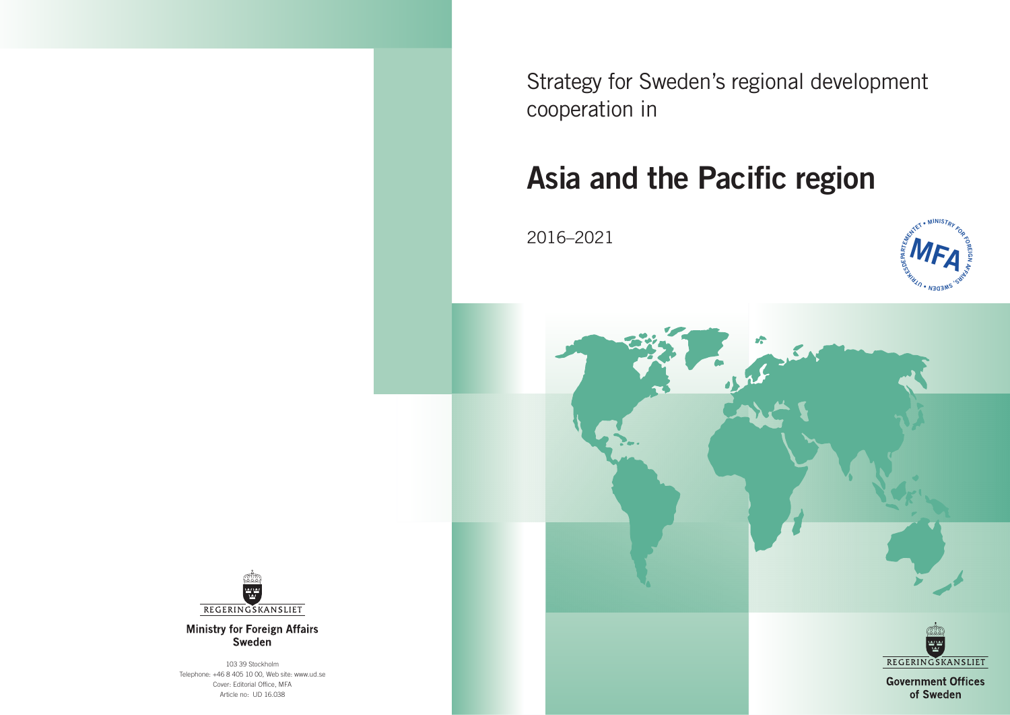Strategy for Sweden's regional development cooperation in

# **Asia and the Pacific region**

2016–2021





**Ministry for Foreign Affairs** Sweden

103 39 Stockholm Telephone: +46 8 405 10 00, Web site: www.ud.se Cover: Editorial Office, MFA Article no: UD 16.038



**Government Offices** of Sweden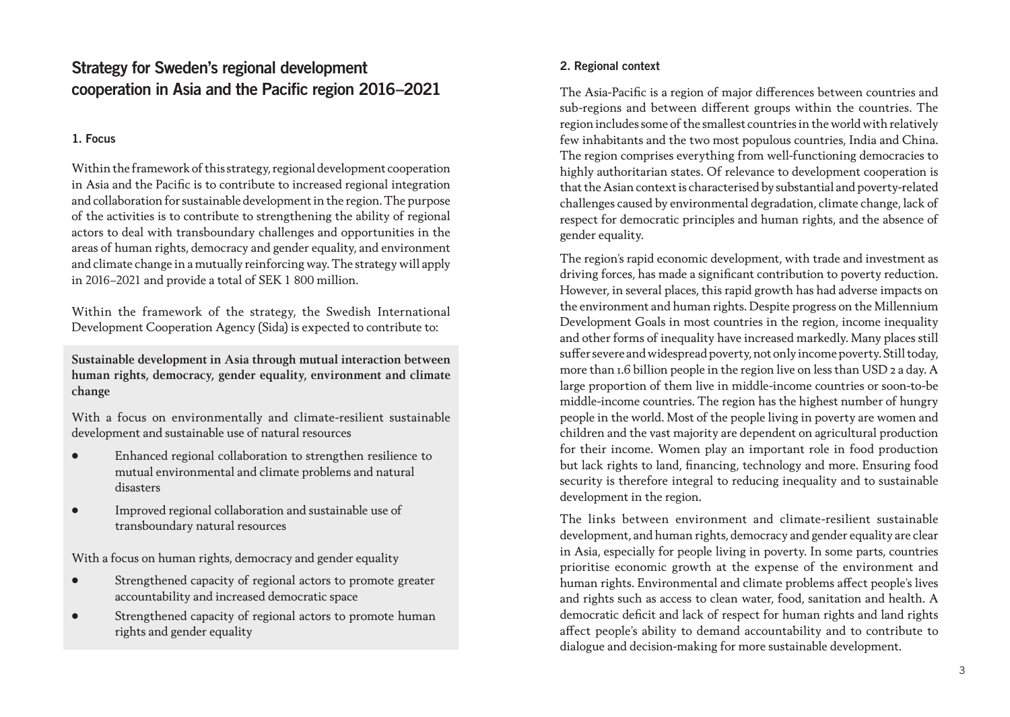## Strategy for Sweden's regional development cooperation in Asia and the Pacific region 2016–2021

### 1. Focus

Within the framework of this strategy, regional development cooperation in Asia and the Pacific is to contribute to increased regional integration and collaboration for sustainable development in the region. The purpose of the activities is to contribute to strengthening the ability of regional actors to deal with transboundary challenges and opportunities in the areas of human rights, democracy and gender equality, and environment and climate change in a mutually reinforcing way. The strategy will apply in 2016–2021 and provide a total of SEK 1 800 million.

Within the framework of the strategy, the Swedish International Development Cooperation Agency (Sida) is expected to contribute to:

**Sustainable development in Asia through mutual interaction between human rights, democracy, gender equality, environment and climate change** 

With a focus on environmentally and climate-resilient sustainable development and sustainable use of natural resources

- Enhanced regional collaboration to strengthen resilience to mutual environmental and climate problems and natural disasters
- Improved regional collaboration and sustainable use of transboundary natural resources

With a focus on human rights, democracy and gender equality

- Strengthened capacity of regional actors to promote greater accountability and increased democratic space
- Strengthened capacity of regional actors to promote human rights and gender equality

### 2. Regional context

The Asia-Pacific is a region of major differences between countries and sub-regions and between different groups within the countries. The region includes some of the smallest countries in the world with relatively few inhabitants and the two most populous countries, India and China. The region comprises everything from well-functioning democracies to highly authoritarian states. Of relevance to development cooperation is that the Asian context is characterised by substantial and poverty-related challenges caused by environmental degradation, climate change, lack of respect for democratic principles and human rights, and the absence of gender equality.

The region's rapid economic development, with trade and investment as driving forces, has made a significant contribution to poverty reduction. However, in several places, this rapid growth has had adverse impacts on the environment and human rights. Despite progress on the Millennium Development Goals in most countries in the region, income inequality and other forms of inequality have increased markedly. Many places still suffer severe and widespread poverty, not only income poverty. Still today, more than 1.6 billion people in the region live on less than USD 2 a day. A large proportion of them live in middle-income countries or soon-to-be middle-income countries. The region has the highest number of hungry people in the world. Most of the people living in poverty are women and children and the vast majority are dependent on agricultural production for their income. Women play an important role in food production but lack rights to land, financing, technology and more. Ensuring food security is therefore integral to reducing inequality and to sustainable development in the region.

The links between environment and climate-resilient sustainable development, and human rights, democracy and gender equality are clear in Asia, especially for people living in poverty. In some parts, countries prioritise economic growth at the expense of the environment and human rights. Environmental and climate problems affect people's lives and rights such as access to clean water, food, sanitation and health. A democratic deficit and lack of respect for human rights and land rights affect people's ability to demand accountability and to contribute to dialogue and decision-making for more sustainable development.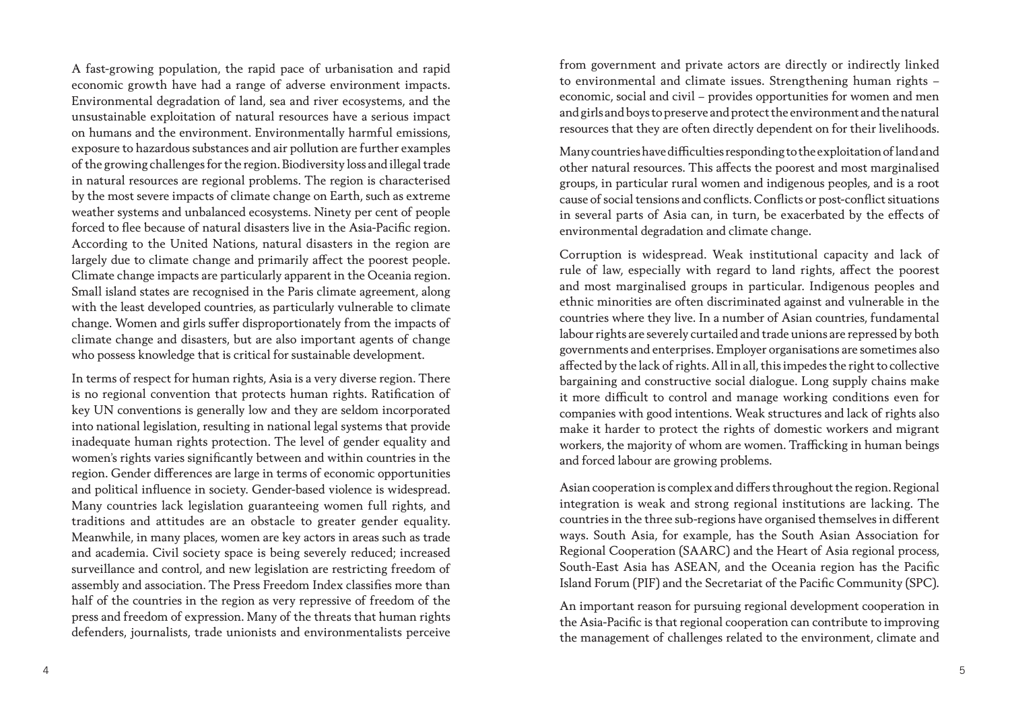A fast-growing population, the rapid pace of urbanisation and rapid economic growth have had a range of adverse environment impacts. Environmental degradation of land, sea and river ecosystems, and the unsustainable exploitation of natural resources have a serious impact on humans and the environment. Environmentally harmful emissions, exposure to hazardous substances and air pollution are further examples of the growing challenges for the region. Biodiversity loss and illegal trade in natural resources are regional problems. The region is characterised by the most severe impacts of climate change on Earth, such as extreme weather systems and unbalanced ecosystems. Ninety per cent of people forced to flee because of natural disasters live in the Asia-Pacific region. According to the United Nations, natural disasters in the region are largely due to climate change and primarily affect the poorest people. Climate change impacts are particularly apparent in the Oceania region. Small island states are recognised in the Paris climate agreement, along with the least developed countries, as particularly vulnerable to climate change. Women and girls suffer disproportionately from the impacts of climate change and disasters, but are also important agents of change who possess knowledge that is critical for sustainable development.

In terms of respect for human rights, Asia is a very diverse region. There is no regional convention that protects human rights. Ratification of key UN conventions is generally low and they are seldom incorporated into national legislation, resulting in national legal systems that provide inadequate human rights protection. The level of gender equality and women's rights varies significantly between and within countries in the region. Gender differences are large in terms of economic opportunities and political influence in society. Gender-based violence is widespread. Many countries lack legislation guaranteeing women full rights, and traditions and attitudes are an obstacle to greater gender equality. Meanwhile, in many places, women are key actors in areas such as trade and academia. Civil society space is being severely reduced; increased surveillance and control, and new legislation are restricting freedom of assembly and association. The Press Freedom Index classifies more than half of the countries in the region as very repressive of freedom of the press and freedom of expression. Many of the threats that human rights defenders, journalists, trade unionists and environmentalists perceive

from government and private actors are directly or indirectly linked to environmental and climate issues. Strengthening human rights – economic, social and civil – provides opportunities for women and men and girls and boys to preserve and protect the environment and the natural resources that they are often directly dependent on for their livelihoods.

Many countries have difficulties responding to the exploitation of land and other natural resources. This affects the poorest and most marginalised groups, in particular rural women and indigenous peoples, and is a root cause of social tensions and conflicts. Conflicts or post-conflict situations in several parts of Asia can, in turn, be exacerbated by the effects of environmental degradation and climate change.

Corruption is widespread. Weak institutional capacity and lack of rule of law, especially with regard to land rights, affect the poorest and most marginalised groups in particular. Indigenous peoples and ethnic minorities are often discriminated against and vulnerable in the countries where they live. In a number of Asian countries, fundamental labour rights are severely curtailed and trade unions are repressed by both governments and enterprises. Employer organisations are sometimes also affected by the lack of rights. All in all, this impedes the right to collective bargaining and constructive social dialogue. Long supply chains make it more difficult to control and manage working conditions even for companies with good intentions. Weak structures and lack of rights also make it harder to protect the rights of domestic workers and migrant workers, the majority of whom are women. Trafficking in human beings and forced labour are growing problems.

Asian cooperation is complex and differs throughout the region. Regional integration is weak and strong regional institutions are lacking. The countries in the three sub-regions have organised themselves in different ways. South Asia, for example, has the South Asian Association for Regional Cooperation (SAARC) and the Heart of Asia regional process, South-East Asia has ASEAN, and the Oceania region has the Pacific Island Forum (PIF) and the Secretariat of the Pacific Community (SPC).

An important reason for pursuing regional development cooperation in the Asia-Pacific is that regional cooperation can contribute to improving the management of challenges related to the environment, climate and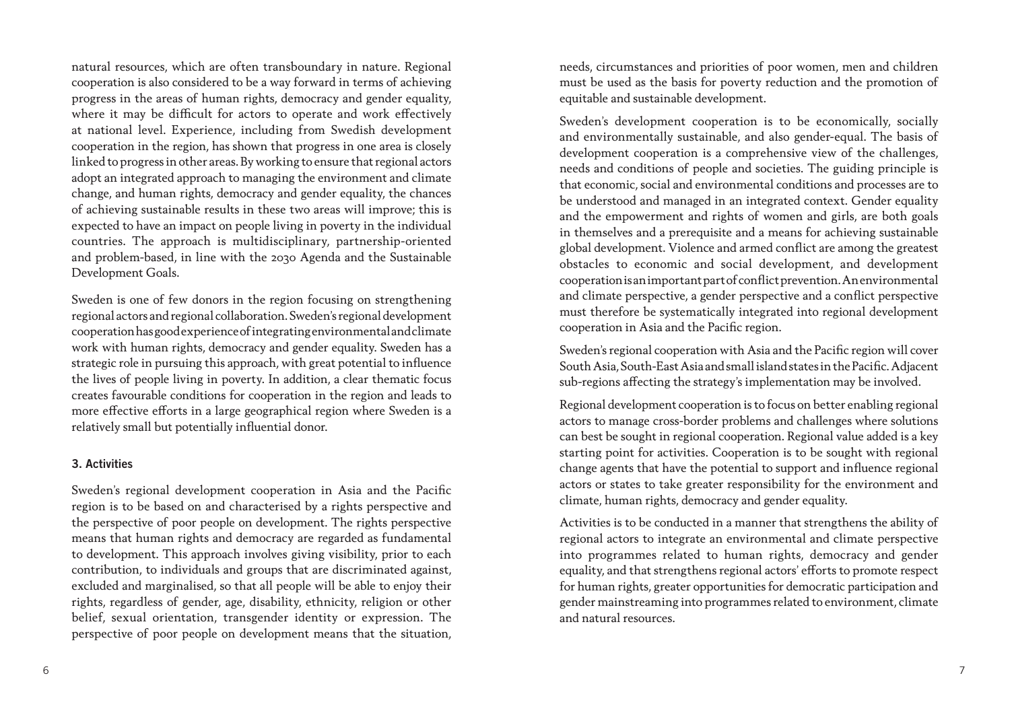natural resources, which are often transboundary in nature. Regional cooperation is also considered to be a way forward in terms of achieving progress in the areas of human rights, democracy and gender equality, where it may be difficult for actors to operate and work effectively at national level. Experience, including from Swedish development cooperation in the region, has shown that progress in one area is closely linked to progress in other areas. By working to ensure that regional actors adopt an integrated approach to managing the environment and climate change, and human rights, democracy and gender equality, the chances of achieving sustainable results in these two areas will improve; this is expected to have an impact on people living in poverty in the individual countries. The approach is multidisciplinary, partnership-oriented and problem-based, in line with the 2030 Agenda and the Sustainable Development Goals.

Sweden is one of few donors in the region focusing on strengthening regional actors and regional collaboration. Sweden's regional development cooperation has good experience of integrating environmental and climate work with human rights, democracy and gender equality. Sweden has a strategic role in pursuing this approach, with great potential to influence the lives of people living in poverty. In addition, a clear thematic focus creates favourable conditions for cooperation in the region and leads to more effective efforts in a large geographical region where Sweden is a relatively small but potentially influential donor.

#### 3. Activities

Sweden's regional development cooperation in Asia and the Pacific region is to be based on and characterised by a rights perspective and the perspective of poor people on development. The rights perspective means that human rights and democracy are regarded as fundamental to development. This approach involves giving visibility, prior to each contribution, to individuals and groups that are discriminated against, excluded and marginalised, so that all people will be able to enjoy their rights, regardless of gender, age, disability, ethnicity, religion or other belief, sexual orientation, transgender identity or expression. The perspective of poor people on development means that the situation,

needs, circumstances and priorities of poor women, men and children must be used as the basis for poverty reduction and the promotion of equitable and sustainable development.

Sweden's development cooperation is to be economically, socially and environmentally sustainable, and also gender-equal. The basis of development cooperation is a comprehensive view of the challenges, needs and conditions of people and societies. The guiding principle is that economic, social and environmental conditions and processes are to be understood and managed in an integrated context. Gender equality and the empowerment and rights of women and girls, are both goals in themselves and a prerequisite and a means for achieving sustainable global development. Violence and armed conflict are among the greatest obstacles to economic and social development, and development cooperation is an important part of conflict prevention. An environmental and climate perspective, a gender perspective and a conflict perspective must therefore be systematically integrated into regional development cooperation in Asia and the Pacific region.

Sweden's regional cooperation with Asia and the Pacific region will cover South Asia, South-East Asia and small island states in the Pacific. Adjacent sub-regions affecting the strategy's implementation may be involved.

Regional development cooperation is to focus on better enabling regional actors to manage cross-border problems and challenges where solutions can best be sought in regional cooperation. Regional value added is a key starting point for activities. Cooperation is to be sought with regional change agents that have the potential to support and influence regional actors or states to take greater responsibility for the environment and climate, human rights, democracy and gender equality.

Activities is to be conducted in a manner that strengthens the ability of regional actors to integrate an environmental and climate perspective into programmes related to human rights, democracy and gender equality, and that strengthens regional actors' efforts to promote respect for human rights, greater opportunities for democratic participation and gender mainstreaming into programmes related to environment, climate and natural resources.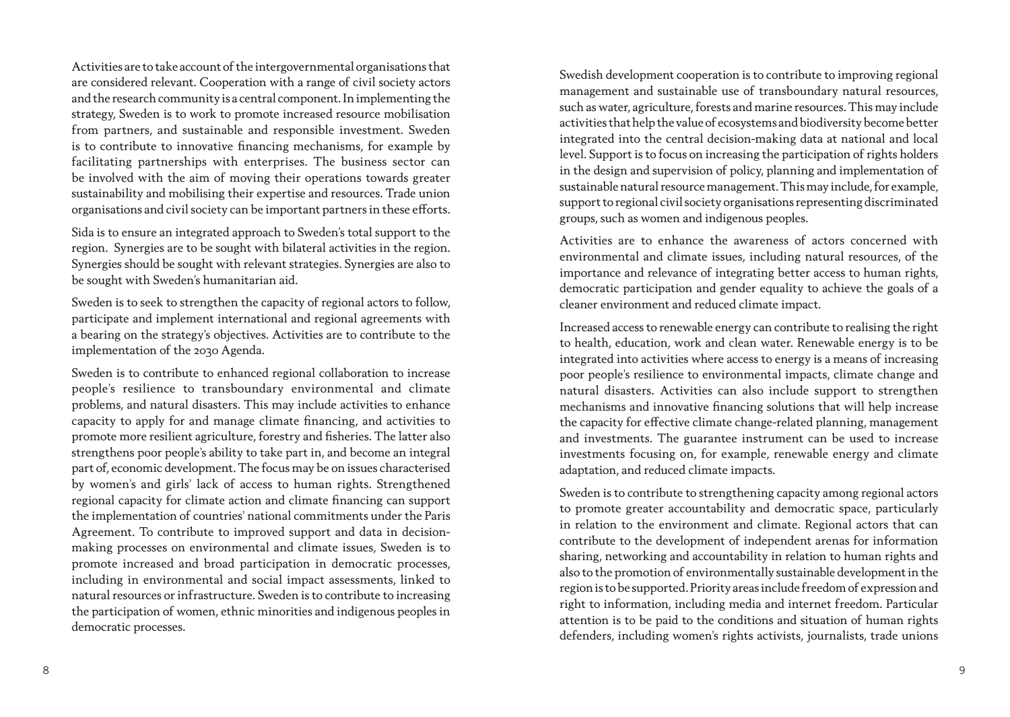Activities are to take account of the intergovernmental organisations that are considered relevant. Cooperation with a range of civil society actors and the research community is a central component. In implementing the strategy, Sweden is to work to promote increased resource mobilisation from partners, and sustainable and responsible investment. Sweden is to contribute to innovative financing mechanisms, for example by facilitating partnerships with enterprises. The business sector can be involved with the aim of moving their operations towards greater sustainability and mobilising their expertise and resources. Trade union organisations and civil society can be important partners in these efforts.

Sida is to ensure an integrated approach to Sweden's total support to the region. Synergies are to be sought with bilateral activities in the region. Synergies should be sought with relevant strategies. Synergies are also to be sought with Sweden's humanitarian aid.

Sweden is to seek to strengthen the capacity of regional actors to follow, participate and implement international and regional agreements with a bearing on the strategy's objectives. Activities are to contribute to the implementation of the 2030 Agenda.

Sweden is to contribute to enhanced regional collaboration to increase people's resilience to transboundary environmental and climate problems, and natural disasters. This may include activities to enhance capacity to apply for and manage climate financing, and activities to promote more resilient agriculture, forestry and fisheries. The latter also strengthens poor people's ability to take part in, and become an integral part of, economic development. The focus may be on issues characterised by women's and girls' lack of access to human rights. Strengthened regional capacity for climate action and climate financing can support the implementation of countries' national commitments under the Paris Agreement. To contribute to improved support and data in decisionmaking processes on environmental and climate issues, Sweden is to promote increased and broad participation in democratic processes, including in environmental and social impact assessments, linked to natural resources or infrastructure. Sweden is to contribute to increasing the participation of women, ethnic minorities and indigenous peoples in democratic processes.

Swedish development cooperation is to contribute to improving regional management and sustainable use of transboundary natural resources, such as water, agriculture, forests and marine resources. This may include activities that help the value of ecosystems and biodiversity become better integrated into the central decision-making data at national and local level. Support is to focus on increasing the participation of rights holders in the design and supervision of policy, planning and implementation of sustainable natural resource management. This may include, for example, support to regional civil society organisations representing discriminated groups, such as women and indigenous peoples.

Activities are to enhance the awareness of actors concerned with environmental and climate issues, including natural resources, of the importance and relevance of integrating better access to human rights, democratic participation and gender equality to achieve the goals of a cleaner environment and reduced climate impact.

Increased access to renewable energy can contribute to realising the right to health, education, work and clean water. Renewable energy is to be integrated into activities where access to energy is a means of increasing poor people's resilience to environmental impacts, climate change and natural disasters. Activities can also include support to strengthen mechanisms and innovative financing solutions that will help increase the capacity for effective climate change-related planning, management and investments. The guarantee instrument can be used to increase investments focusing on, for example, renewable energy and climate adaptation, and reduced climate impacts.

Sweden is to contribute to strengthening capacity among regional actors to promote greater accountability and democratic space, particularly in relation to the environment and climate. Regional actors that can contribute to the development of independent arenas for information sharing, networking and accountability in relation to human rights and also to the promotion of environmentally sustainable development in the region is to be supported. Priority areas include freedom of expression and right to information, including media and internet freedom. Particular attention is to be paid to the conditions and situation of human rights defenders, including women's rights activists, journalists, trade unions